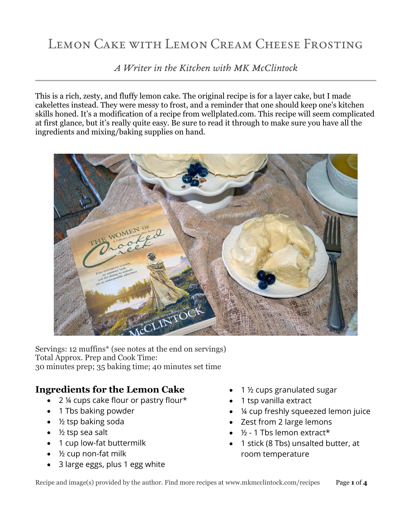# LEMON CAKE WITH LEMON CREAM CHEESE FROSTING

*A Writer in the Kitchen with MK McClintock*

This is a rich, zesty, and fluffy lemon cake. The original recipe is for a layer cake, but I made cakelettes instead. They were messy to frost, and a reminder that one should keep one's kitchen skills honed. It's a modification of a recipe from wellplated.com. This recipe will seem complicated at first glance, but it's really quite easy. Be sure to read it through to make sure you have all the ingredients and mixing/baking supplies on hand.



Servings: 12 muffins\* (see notes at the end on servings) Total Approx. Prep and Cook Time: 30 minutes prep; 35 baking time; 40 minutes set time

## **Ingredients for the Lemon Cake**

- 2 ¼ cups cake flour or pastry flour\*
- 1 Tbs baking powder
- ½ tsp baking soda
- $\bullet$  % tsp sea salt
- 1 cup low-fat buttermilk
- $\bullet$  % cup non-fat milk
- 3 large eggs, plus 1 egg white
- 1 ½ cups granulated sugar
- 1 tsp vanilla extract
- ¼ cup freshly squeezed lemon juice
- Zest from 2 large lemons
- $\bullet$   $\frac{1}{2}$  1 Tbs lemon extract\*
- 1 stick (8 Tbs) unsalted butter, at room temperature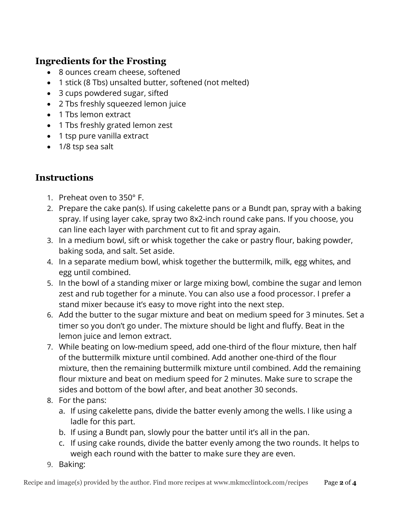## **Ingredients for the Frosting**

- 8 ounces cream cheese, softened
- 1 stick (8 Tbs) unsalted butter, softened (not melted)
- 3 cups powdered sugar, sifted
- 2 Tbs freshly squeezed lemon juice
- 1 Tbs lemon extract
- 1 Tbs freshly grated lemon zest
- 1 tsp pure vanilla extract
- 1/8 tsp sea salt

# **Instructions**

- 1. Preheat oven to 350° F.
- 2. Prepare the cake pan(s). If using cakelette pans or a Bundt pan, spray with a baking spray. If using layer cake, spray two 8x2-inch round cake pans. If you choose, you can line each layer with parchment cut to fit and spray again.
- 3. In a medium bowl, sift or whisk together the cake or pastry flour, baking powder, baking soda, and salt. Set aside.
- 4. In a separate medium bowl, whisk together the buttermilk, milk, egg whites, and egg until combined.
- 5. In the bowl of a standing mixer or large mixing bowl, combine the sugar and lemon zest and rub together for a minute. You can also use a food processor. I prefer a stand mixer because it's easy to move right into the next step.
- 6. Add the butter to the sugar mixture and beat on medium speed for 3 minutes. Set a timer so you don't go under. The mixture should be light and fluffy. Beat in the lemon juice and lemon extract.
- 7. While beating on low-medium speed, add one-third of the flour mixture, then half of the buttermilk mixture until combined. Add another one-third of the flour mixture, then the remaining buttermilk mixture until combined. Add the remaining flour mixture and beat on medium speed for 2 minutes. Make sure to scrape the sides and bottom of the bowl after, and beat another 30 seconds.
- 8. For the pans:
	- a. If using cakelette pans, divide the batter evenly among the wells. I like using a ladle for this part.
	- b. If using a Bundt pan, slowly pour the batter until it's all in the pan.
	- c. If using cake rounds, divide the batter evenly among the two rounds. It helps to weigh each round with the batter to make sure they are even.
- 9. Baking: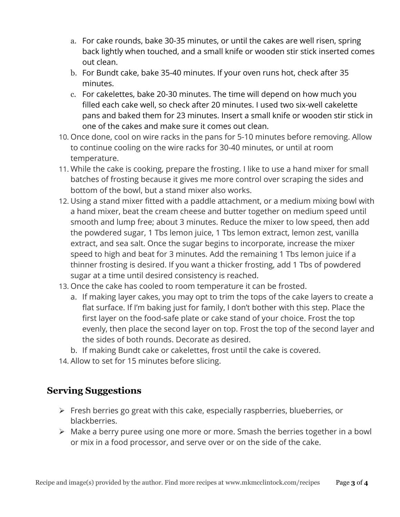- a. For cake rounds, bake 30-35 minutes, or until the cakes are well risen, spring back lightly when touched, and a small knife or wooden stir stick inserted comes out clean.
- b. For Bundt cake, bake 35-40 minutes. If your oven runs hot, check after 35 minutes.
- c. For cakelettes, bake 20-30 minutes. The time will depend on how much you filled each cake well, so check after 20 minutes. I used two six-well cakelette pans and baked them for 23 minutes. Insert a small knife or wooden stir stick in one of the cakes and make sure it comes out clean.
- 10. Once done, cool on wire racks in the pans for 5-10 minutes before removing. Allow to continue cooling on the wire racks for 30-40 minutes, or until at room temperature.
- 11. While the cake is cooking, prepare the frosting. I like to use a hand mixer for small batches of frosting because it gives me more control over scraping the sides and bottom of the bowl, but a stand mixer also works.
- 12. Using a stand mixer fitted with a paddle attachment, or a medium mixing bowl with a hand mixer, beat the cream cheese and butter together on medium speed until smooth and lump free; about 3 minutes. Reduce the mixer to low speed, then add the powdered sugar, 1 Tbs lemon juice, 1 Tbs lemon extract, lemon zest, vanilla extract, and sea salt. Once the sugar begins to incorporate, increase the mixer speed to high and beat for 3 minutes. Add the remaining 1 Tbs lemon juice if a thinner frosting is desired. If you want a thicker frosting, add 1 Tbs of powdered sugar at a time until desired consistency is reached.
- 13. Once the cake has cooled to room temperature it can be frosted.
	- a. If making layer cakes, you may opt to trim the tops of the cake layers to create a flat surface. If I'm baking just for family, I don't bother with this step. Place the first layer on the food-safe plate or cake stand of your choice. Frost the top evenly, then place the second layer on top. Frost the top of the second layer and the sides of both rounds. Decorate as desired.
	- b. If making Bundt cake or cakelettes, frost until the cake is covered.
- 14. Allow to set for 15 minutes before slicing.

#### **Serving Suggestions**

- ➢ Fresh berries go great with this cake, especially raspberries, blueberries, or blackberries.
- ➢ Make a berry puree using one more or more. Smash the berries together in a bowl or mix in a food processor, and serve over or on the side of the cake.